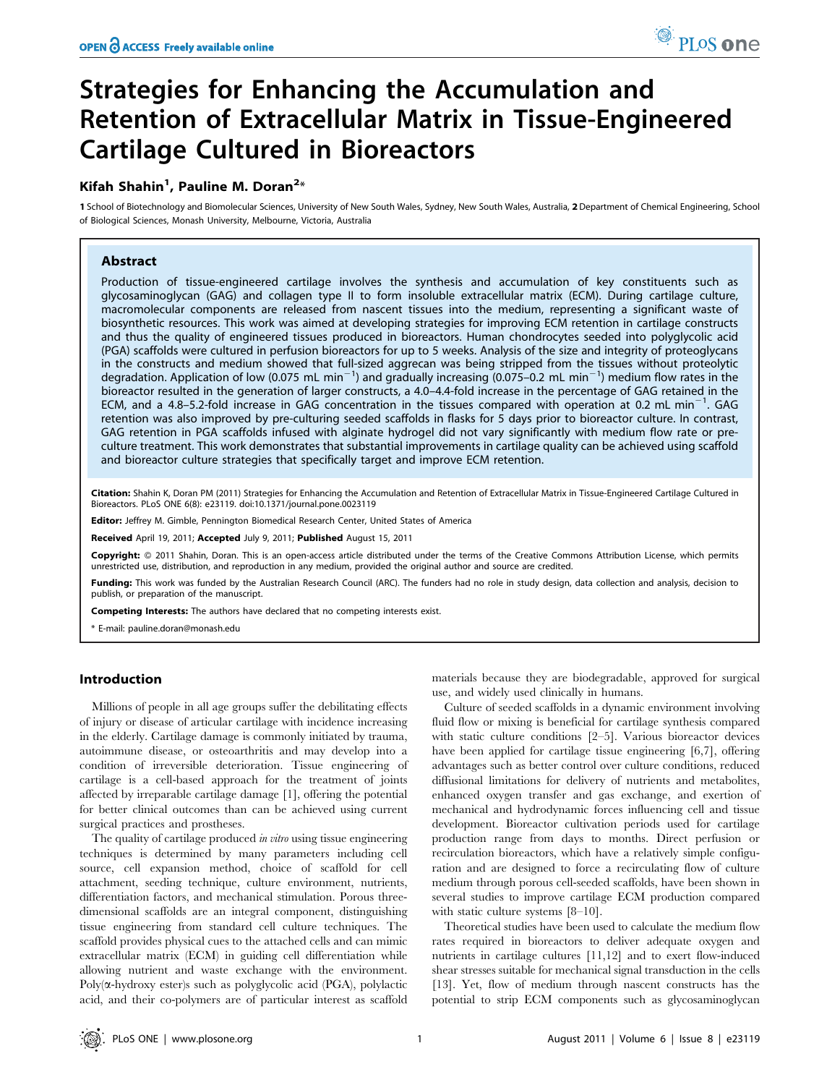# Strategies for Enhancing the Accumulation and Retention of Extracellular Matrix in Tissue-Engineered Cartilage Cultured in Bioreactors

## Kifah Shahin<sup>1</sup>, Pauline M. Doran<sup>2</sup>\*

1 School of Biotechnology and Biomolecular Sciences, University of New South Wales, Sydney, New South Wales, Australia, 2 Department of Chemical Engineering, School of Biological Sciences, Monash University, Melbourne, Victoria, Australia

## Abstract

Production of tissue-engineered cartilage involves the synthesis and accumulation of key constituents such as glycosaminoglycan (GAG) and collagen type II to form insoluble extracellular matrix (ECM). During cartilage culture, macromolecular components are released from nascent tissues into the medium, representing a significant waste of biosynthetic resources. This work was aimed at developing strategies for improving ECM retention in cartilage constructs and thus the quality of engineered tissues produced in bioreactors. Human chondrocytes seeded into polyglycolic acid (PGA) scaffolds were cultured in perfusion bioreactors for up to 5 weeks. Analysis of the size and integrity of proteoglycans in the constructs and medium showed that full-sized aggrecan was being stripped from the tissues without proteolytic degradation. Application of low (0.075 mL min<sup>-1</sup>) and gradually increasing (0.075-0.2 mL min<sup>-1</sup>) medium flow rates in the bioreactor resulted in the generation of larger constructs, a 4.0–4.4-fold increase in the percentage of GAG retained in the ECM, and a 4.8-5.2-fold increase in GAG concentration in the tissues compared with operation at 0.2 mL min<sup>-1</sup>. GAG retention was also improved by pre-culturing seeded scaffolds in flasks for 5 days prior to bioreactor culture. In contrast, GAG retention in PGA scaffolds infused with alginate hydrogel did not vary significantly with medium flow rate or preculture treatment. This work demonstrates that substantial improvements in cartilage quality can be achieved using scaffold and bioreactor culture strategies that specifically target and improve ECM retention.

Citation: Shahin K, Doran PM (2011) Strategies for Enhancing the Accumulation and Retention of Extracellular Matrix in Tissue-Engineered Cartilage Cultured in Bioreactors. PLoS ONE 6(8): e23119. doi:10.1371/journal.pone.0023119

Editor: Jeffrey M. Gimble, Pennington Biomedical Research Center, United States of America

Received April 19, 2011; Accepted July 9, 2011; Published August 15, 2011

**Copyright:** © 2011 Shahin, Doran. This is an open-access article distributed under the terms of the Creative Commons Attribution License, which permits unrestricted use, distribution, and reproduction in any medium, provided the original author and source are credited.

Funding: This work was funded by the Australian Research Council (ARC). The funders had no role in study design, data collection and analysis, decision to publish, or preparation of the manuscript.

Competing Interests: The authors have declared that no competing interests exist.

\* E-mail: pauline.doran@monash.edu

#### Introduction

Millions of people in all age groups suffer the debilitating effects of injury or disease of articular cartilage with incidence increasing in the elderly. Cartilage damage is commonly initiated by trauma, autoimmune disease, or osteoarthritis and may develop into a condition of irreversible deterioration. Tissue engineering of cartilage is a cell-based approach for the treatment of joints affected by irreparable cartilage damage [1], offering the potential for better clinical outcomes than can be achieved using current surgical practices and prostheses.

The quality of cartilage produced *in vitro* using tissue engineering techniques is determined by many parameters including cell source, cell expansion method, choice of scaffold for cell attachment, seeding technique, culture environment, nutrients, differentiation factors, and mechanical stimulation. Porous threedimensional scaffolds are an integral component, distinguishing tissue engineering from standard cell culture techniques. The scaffold provides physical cues to the attached cells and can mimic extracellular matrix (ECM) in guiding cell differentiation while allowing nutrient and waste exchange with the environment.  $Poly(\alpha-hydroxy \text{ ester})s \text{ such as polyglycolic acid (PGA)}, polylactic$ acid, and their co-polymers are of particular interest as scaffold

materials because they are biodegradable, approved for surgical use, and widely used clinically in humans.

Culture of seeded scaffolds in a dynamic environment involving fluid flow or mixing is beneficial for cartilage synthesis compared with static culture conditions [2–5]. Various bioreactor devices have been applied for cartilage tissue engineering [6,7], offering advantages such as better control over culture conditions, reduced diffusional limitations for delivery of nutrients and metabolites, enhanced oxygen transfer and gas exchange, and exertion of mechanical and hydrodynamic forces influencing cell and tissue development. Bioreactor cultivation periods used for cartilage production range from days to months. Direct perfusion or recirculation bioreactors, which have a relatively simple configuration and are designed to force a recirculating flow of culture medium through porous cell-seeded scaffolds, have been shown in several studies to improve cartilage ECM production compared with static culture systems [8–10].

Theoretical studies have been used to calculate the medium flow rates required in bioreactors to deliver adequate oxygen and nutrients in cartilage cultures [11,12] and to exert flow-induced shear stresses suitable for mechanical signal transduction in the cells [13]. Yet, flow of medium through nascent constructs has the potential to strip ECM components such as glycosaminoglycan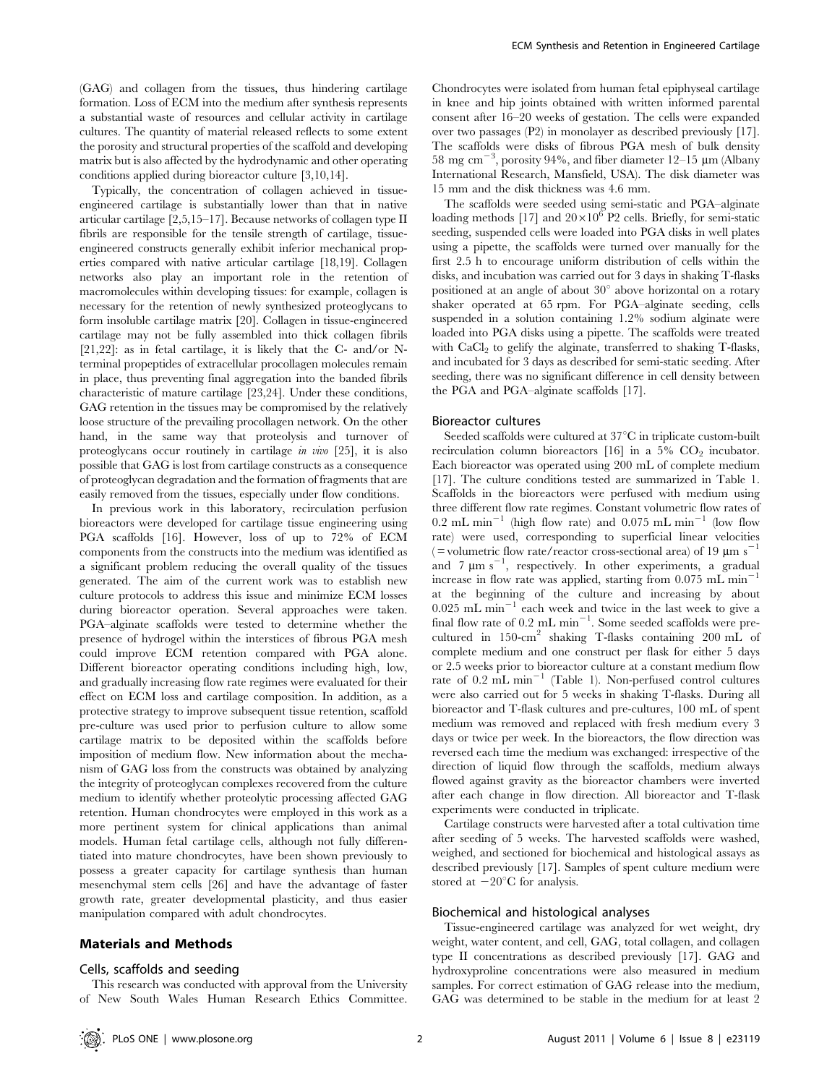(GAG) and collagen from the tissues, thus hindering cartilage formation. Loss of ECM into the medium after synthesis represents a substantial waste of resources and cellular activity in cartilage cultures. The quantity of material released reflects to some extent the porosity and structural properties of the scaffold and developing matrix but is also affected by the hydrodynamic and other operating conditions applied during bioreactor culture [3,10,14].

Typically, the concentration of collagen achieved in tissueengineered cartilage is substantially lower than that in native articular cartilage [2,5,15–17]. Because networks of collagen type II fibrils are responsible for the tensile strength of cartilage, tissueengineered constructs generally exhibit inferior mechanical properties compared with native articular cartilage [18,19]. Collagen networks also play an important role in the retention of macromolecules within developing tissues: for example, collagen is necessary for the retention of newly synthesized proteoglycans to form insoluble cartilage matrix [20]. Collagen in tissue-engineered cartilage may not be fully assembled into thick collagen fibrils [21,22]: as in fetal cartilage, it is likely that the C- and/or Nterminal propeptides of extracellular procollagen molecules remain in place, thus preventing final aggregation into the banded fibrils characteristic of mature cartilage [23,24]. Under these conditions, GAG retention in the tissues may be compromised by the relatively loose structure of the prevailing procollagen network. On the other hand, in the same way that proteolysis and turnover of proteoglycans occur routinely in cartilage in vivo [25], it is also possible that GAG is lost from cartilage constructs as a consequence of proteoglycan degradation and the formation of fragments that are easily removed from the tissues, especially under flow conditions.

In previous work in this laboratory, recirculation perfusion bioreactors were developed for cartilage tissue engineering using PGA scaffolds [16]. However, loss of up to 72% of ECM components from the constructs into the medium was identified as a significant problem reducing the overall quality of the tissues generated. The aim of the current work was to establish new culture protocols to address this issue and minimize ECM losses during bioreactor operation. Several approaches were taken. PGA–alginate scaffolds were tested to determine whether the presence of hydrogel within the interstices of fibrous PGA mesh could improve ECM retention compared with PGA alone. Different bioreactor operating conditions including high, low, and gradually increasing flow rate regimes were evaluated for their effect on ECM loss and cartilage composition. In addition, as a protective strategy to improve subsequent tissue retention, scaffold pre-culture was used prior to perfusion culture to allow some cartilage matrix to be deposited within the scaffolds before imposition of medium flow. New information about the mechanism of GAG loss from the constructs was obtained by analyzing the integrity of proteoglycan complexes recovered from the culture medium to identify whether proteolytic processing affected GAG retention. Human chondrocytes were employed in this work as a more pertinent system for clinical applications than animal models. Human fetal cartilage cells, although not fully differentiated into mature chondrocytes, have been shown previously to possess a greater capacity for cartilage synthesis than human mesenchymal stem cells [26] and have the advantage of faster growth rate, greater developmental plasticity, and thus easier manipulation compared with adult chondrocytes.

## Materials and Methods

#### Cells, scaffolds and seeding

This research was conducted with approval from the University of New South Wales Human Research Ethics Committee. Chondrocytes were isolated from human fetal epiphyseal cartilage in knee and hip joints obtained with written informed parental consent after 16–20 weeks of gestation. The cells were expanded over two passages (P2) in monolayer as described previously [17]. The scaffolds were disks of fibrous PGA mesh of bulk density 58 mg cm<sup>-3</sup>, porosity 94%, and fiber diameter 12-15  $\mu$ m (Albany International Research, Mansfield, USA). The disk diameter was 15 mm and the disk thickness was 4.6 mm.

The scaffolds were seeded using semi-static and PGA–alginate loading methods [17] and  $20 \times 10^6$  P2 cells. Briefly, for semi-static seeding, suspended cells were loaded into PGA disks in well plates using a pipette, the scaffolds were turned over manually for the first 2.5 h to encourage uniform distribution of cells within the disks, and incubation was carried out for 3 days in shaking T-flasks positioned at an angle of about  $30^{\circ}$  above horizontal on a rotary shaker operated at 65 rpm. For PGA–alginate seeding, cells suspended in a solution containing 1.2% sodium alginate were loaded into PGA disks using a pipette. The scaffolds were treated with  $CaCl<sub>2</sub>$  to gelify the alginate, transferred to shaking T-flasks, and incubated for 3 days as described for semi-static seeding. After seeding, there was no significant difference in cell density between the PGA and PGA–alginate scaffolds [17].

#### Bioreactor cultures

Seeded scaffolds were cultured at  $37^{\circ}$ C in triplicate custom-built recirculation column bioreactors [16] in a 5%  $CO<sub>2</sub>$  incubator. Each bioreactor was operated using 200 mL of complete medium [17]. The culture conditions tested are summarized in Table 1. Scaffolds in the bioreactors were perfused with medium using three different flow rate regimes. Constant volumetric flow rates of 0.2 mL min<sup>-1</sup> (high flow rate) and 0.075 mL min<sup>-1</sup> (low flow rate) were used, corresponding to superficial linear velocities ( = volumetric flow rate/reactor cross-sectional area) of 19  $\mu$ m s<sup>-1</sup> and  $7 \mu m s^{-1}$ , respectively. In other experiments, a gradual increase in flow rate was applied, starting from  $0.075$  mL min<sup>-</sup> at the beginning of the culture and increasing by about  $0.025$  mL min<sup>-1</sup> each week and twice in the last week to give a final flow rate of  $0.2 \text{ mL min}^{-1}$ . Some seeded scaffolds were precultured in 150-cm<sup>2</sup> shaking T-flasks containing 200 mL of complete medium and one construct per flask for either 5 days or 2.5 weeks prior to bioreactor culture at a constant medium flow rate of  $0.2$  mL min<sup>-1</sup> (Table 1). Non-perfused control cultures were also carried out for 5 weeks in shaking T-flasks. During all bioreactor and T-flask cultures and pre-cultures, 100 mL of spent medium was removed and replaced with fresh medium every 3 days or twice per week. In the bioreactors, the flow direction was reversed each time the medium was exchanged: irrespective of the direction of liquid flow through the scaffolds, medium always flowed against gravity as the bioreactor chambers were inverted after each change in flow direction. All bioreactor and T-flask experiments were conducted in triplicate.

Cartilage constructs were harvested after a total cultivation time after seeding of 5 weeks. The harvested scaffolds were washed, weighed, and sectioned for biochemical and histological assays as described previously [17]. Samples of spent culture medium were stored at  $-20^{\circ}$ C for analysis.

#### Biochemical and histological analyses

Tissue-engineered cartilage was analyzed for wet weight, dry weight, water content, and cell, GAG, total collagen, and collagen type II concentrations as described previously [17]. GAG and hydroxyproline concentrations were also measured in medium samples. For correct estimation of GAG release into the medium, GAG was determined to be stable in the medium for at least 2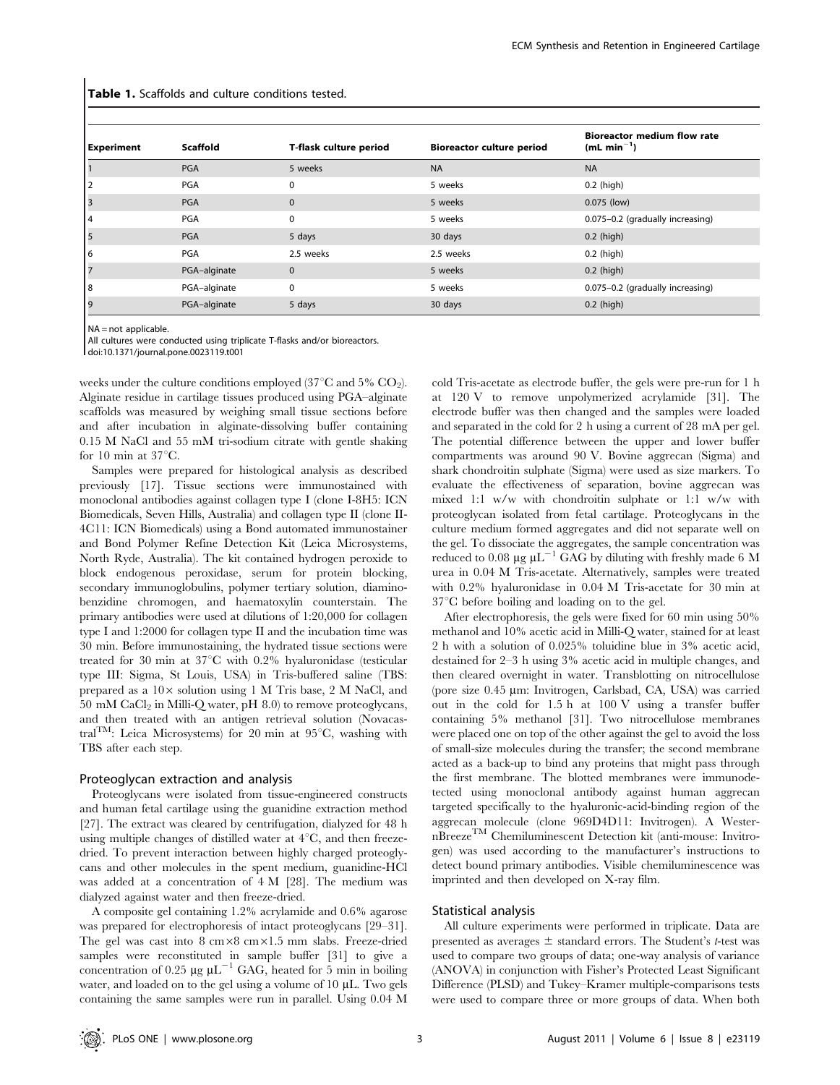| <b>Experiment</b> | Scaffold     | T-flask culture period | <b>Bioreactor culture period</b> | <b>Bioreactor medium flow rate</b><br>(mL min <sup>-1</sup> ) |
|-------------------|--------------|------------------------|----------------------------------|---------------------------------------------------------------|
|                   | PGA          | 5 weeks                | <b>NA</b>                        | <b>NA</b>                                                     |
|                   | PGA          | $\Omega$               | 5 weeks                          | $0.2$ (high)                                                  |
|                   | <b>PGA</b>   | $\mathbf{0}$           | 5 weeks                          | $0.075$ (low)                                                 |
| 4                 | PGA          | 0                      | 5 weeks                          | 0.075-0.2 (gradually increasing)                              |
|                   | <b>PGA</b>   | 5 days                 | 30 days                          | $0.2$ (high)                                                  |
| 6                 | PGA          | 2.5 weeks              | 2.5 weeks                        | $0.2$ (high)                                                  |
|                   | PGA-alginate | $\mathbf{0}$           | 5 weeks                          | $0.2$ (high)                                                  |
| 8                 | PGA-alginate | 0                      | 5 weeks                          | 0.075-0.2 (gradually increasing)                              |
| 19                | PGA-alginate | 5 days                 | 30 days                          | $0.2$ (high)                                                  |

Table 1. Scaffolds and culture conditions tested.

NA = not applicable

All cultures were conducted using triplicate T-flasks and/or bioreactors.

doi:10.1371/journal.pone.0023119.t001

weeks under the culture conditions employed (37 $\mathrm{^{\circ}C}$  and 5%  $\mathrm{CO}_2$ ). Alginate residue in cartilage tissues produced using PGA–alginate scaffolds was measured by weighing small tissue sections before and after incubation in alginate-dissolving buffer containing 0.15 M NaCl and 55 mM tri-sodium citrate with gentle shaking for 10 min at  $37^{\circ}$ C.

Samples were prepared for histological analysis as described previously [17]. Tissue sections were immunostained with monoclonal antibodies against collagen type I (clone I-8H5: ICN Biomedicals, Seven Hills, Australia) and collagen type II (clone II-4C11: ICN Biomedicals) using a Bond automated immunostainer and Bond Polymer Refine Detection Kit (Leica Microsystems, North Ryde, Australia). The kit contained hydrogen peroxide to block endogenous peroxidase, serum for protein blocking, secondary immunoglobulins, polymer tertiary solution, diaminobenzidine chromogen, and haematoxylin counterstain. The primary antibodies were used at dilutions of 1:20,000 for collagen type I and 1:2000 for collagen type II and the incubation time was 30 min. Before immunostaining, the hydrated tissue sections were treated for 30 min at  $37^{\circ}$ C with 0.2% hyaluronidase (testicular type III: Sigma, St Louis, USA) in Tris-buffered saline (TBS: prepared as a  $10\times$  solution using 1 M Tris base, 2 M NaCl, and  $50 \text{ mM } \text{CaCl}_2$  in Milli-Q water, pH  $8.0$ ) to remove proteoglycans, and then treated with an antigen retrieval solution (Novacastral<sup>TM</sup>: Leica Microsystems) for 20 min at 95 $\mathrm{^{\circ}C}$ , washing with TBS after each step.

#### Proteoglycan extraction and analysis

Proteoglycans were isolated from tissue-engineered constructs and human fetal cartilage using the guanidine extraction method [27]. The extract was cleared by centrifugation, dialyzed for 48 h using multiple changes of distilled water at  $4^{\circ}C$ , and then freezedried. To prevent interaction between highly charged proteoglycans and other molecules in the spent medium, guanidine-HCl was added at a concentration of 4 M [28]. The medium was dialyzed against water and then freeze-dried.

A composite gel containing 1.2% acrylamide and 0.6% agarose was prepared for electrophoresis of intact proteoglycans [29–31]. The gel was cast into  $8 \text{ cm} \times 8 \text{ cm} \times 1.5 \text{ mm}$  slabs. Freeze-dried samples were reconstituted in sample buffer [31] to give a concentration of 0.25  $\mu$ g  $\mu$ L<sup>-1</sup> GAG, heated for 5 min in boiling water, and loaded on to the gel using a volume of  $10 \mu L$ . Two gels containing the same samples were run in parallel. Using 0.04 M

cold Tris-acetate as electrode buffer, the gels were pre-run for 1 h at 120 V to remove unpolymerized acrylamide [31]. The electrode buffer was then changed and the samples were loaded and separated in the cold for 2 h using a current of 28 mA per gel. The potential difference between the upper and lower buffer compartments was around 90 V. Bovine aggrecan (Sigma) and shark chondroitin sulphate (Sigma) were used as size markers. To evaluate the effectiveness of separation, bovine aggrecan was mixed 1:1 w/w with chondroitin sulphate or 1:1 w/w with proteoglycan isolated from fetal cartilage. Proteoglycans in the culture medium formed aggregates and did not separate well on the gel. To dissociate the aggregates, the sample concentration was reduced to 0.08  $\mu$ g  $\mu$ L<sup>-1</sup> GAG by diluting with freshly made 6 M urea in 0.04 M Tris-acetate. Alternatively, samples were treated with 0.2% hyaluronidase in 0.04 M Tris-acetate for 30 min at  $37^{\circ}$ C before boiling and loading on to the gel.

After electrophoresis, the gels were fixed for 60 min using 50% methanol and 10% acetic acid in Milli-Q water, stained for at least 2 h with a solution of 0.025% toluidine blue in 3% acetic acid, destained for 2–3 h using 3% acetic acid in multiple changes, and then cleared overnight in water. Transblotting on nitrocellulose (pore size  $0.45 \mu m$ : Invitrogen, Carlsbad, CA, USA) was carried out in the cold for 1.5 h at 100 V using a transfer buffer containing 5% methanol [31]. Two nitrocellulose membranes were placed one on top of the other against the gel to avoid the loss of small-size molecules during the transfer; the second membrane acted as a back-up to bind any proteins that might pass through the first membrane. The blotted membranes were immunodetected using monoclonal antibody against human aggrecan targeted specifically to the hyaluronic-acid-binding region of the aggrecan molecule (clone 969D4D11: Invitrogen). A WesternBreezeTM Chemiluminescent Detection kit (anti-mouse: Invitrogen) was used according to the manufacturer's instructions to detect bound primary antibodies. Visible chemiluminescence was imprinted and then developed on X-ray film.

## Statistical analysis

All culture experiments were performed in triplicate. Data are presented as averages  $\pm$  standard errors. The Student's t-test was used to compare two groups of data; one-way analysis of variance (ANOVA) in conjunction with Fisher's Protected Least Significant Difference (PLSD) and Tukey–Kramer multiple-comparisons tests were used to compare three or more groups of data. When both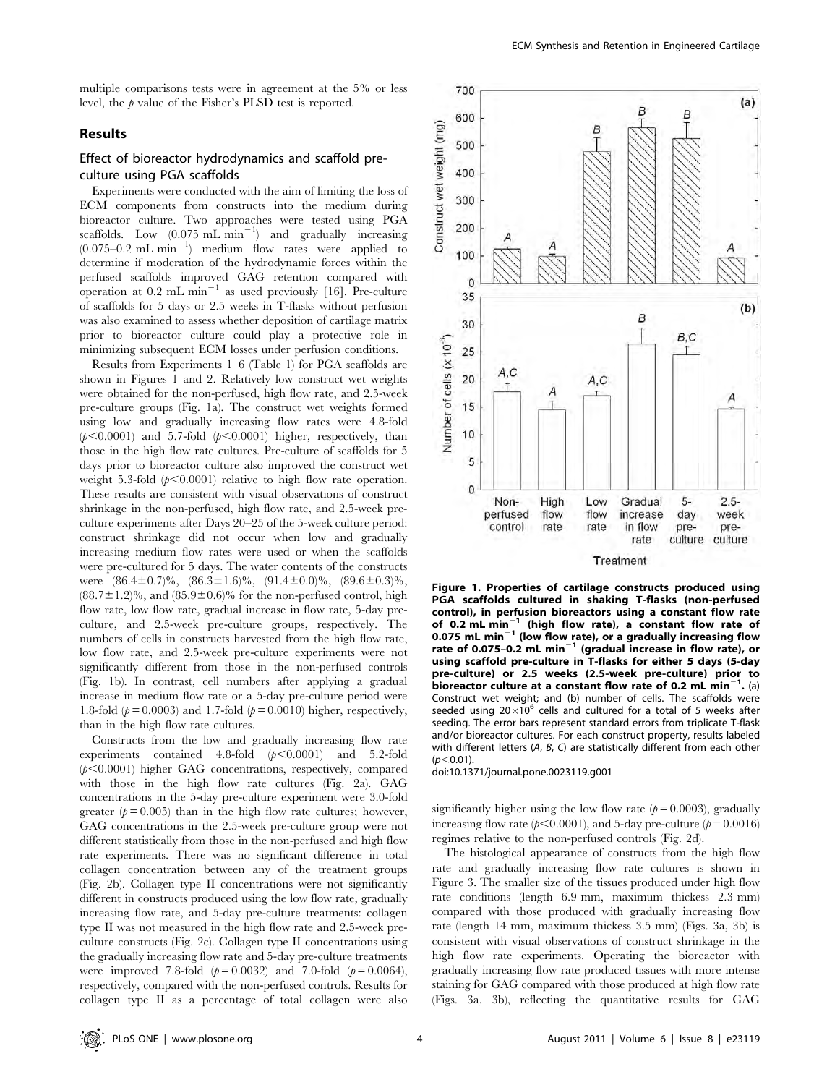multiple comparisons tests were in agreement at the 5% or less level, the  $p$  value of the Fisher's PLSD test is reported.

## Results

## Effect of bioreactor hydrodynamics and scaffold preculture using PGA scaffolds

Experiments were conducted with the aim of limiting the loss of ECM components from constructs into the medium during bioreactor culture. Two approaches were tested using PGA scaffolds. Low  $(0.075 \text{ mL min}^{-1})$  and gradually increasing  $(0.075-0.2 \text{ mL min}^{-1})$  medium flow rates were applied to determine if moderation of the hydrodynamic forces within the perfused scaffolds improved GAG retention compared with operation at  $0.2 \text{ mL min}^{-1}$  as used previously [16]. Pre-culture of scaffolds for 5 days or 2.5 weeks in T-flasks without perfusion was also examined to assess whether deposition of cartilage matrix prior to bioreactor culture could play a protective role in minimizing subsequent ECM losses under perfusion conditions.

Results from Experiments 1–6 (Table 1) for PGA scaffolds are shown in Figures 1 and 2. Relatively low construct wet weights were obtained for the non-perfused, high flow rate, and 2.5-week pre-culture groups (Fig. 1a). The construct wet weights formed using low and gradually increasing flow rates were 4.8-fold  $(p<0.0001)$  and 5.7-fold  $(p<0.0001)$  higher, respectively, than those in the high flow rate cultures. Pre-culture of scaffolds for 5 days prior to bioreactor culture also improved the construct wet weight 5.3-fold  $(p<0.0001)$  relative to high flow rate operation. These results are consistent with visual observations of construct shrinkage in the non-perfused, high flow rate, and 2.5-week preculture experiments after Days 20–25 of the 5-week culture period: construct shrinkage did not occur when low and gradually increasing medium flow rates were used or when the scaffolds were pre-cultured for 5 days. The water contents of the constructs were  $(86.4\pm0.7)\%$ ,  $(86.3\pm1.6)\%$ ,  $(91.4\pm0.0)\%$ ,  $(89.6\pm0.3)\%$ ,  $(88.7 \pm 1.2)\%$ , and  $(85.9 \pm 0.6)\%$  for the non-perfused control, high flow rate, low flow rate, gradual increase in flow rate, 5-day preculture, and 2.5-week pre-culture groups, respectively. The numbers of cells in constructs harvested from the high flow rate, low flow rate, and 2.5-week pre-culture experiments were not significantly different from those in the non-perfused controls (Fig. 1b). In contrast, cell numbers after applying a gradual increase in medium flow rate or a 5-day pre-culture period were 1.8-fold ( $p = 0.0003$ ) and 1.7-fold ( $p = 0.0010$ ) higher, respectively, than in the high flow rate cultures.

Constructs from the low and gradually increasing flow rate experiments contained 4.8-fold  $(p<0.0001)$  and 5.2-fold  $(p<0.0001)$  higher GAG concentrations, respectively, compared with those in the high flow rate cultures (Fig. 2a). GAG concentrations in the 5-day pre-culture experiment were 3.0-fold greater ( $p = 0.005$ ) than in the high flow rate cultures; however, GAG concentrations in the 2.5-week pre-culture group were not different statistically from those in the non-perfused and high flow rate experiments. There was no significant difference in total collagen concentration between any of the treatment groups (Fig. 2b). Collagen type II concentrations were not significantly different in constructs produced using the low flow rate, gradually increasing flow rate, and 5-day pre-culture treatments: collagen type II was not measured in the high flow rate and 2.5-week preculture constructs (Fig. 2c). Collagen type II concentrations using the gradually increasing flow rate and 5-day pre-culture treatments were improved 7.8-fold  $(p = 0.0032)$  and 7.0-fold  $(p = 0.0064)$ , respectively, compared with the non-perfused controls. Results for collagen type II as a percentage of total collagen were also



Figure 1. Properties of cartilage constructs produced using PGA scaffolds cultured in shaking T-flasks (non-perfused control), in perfusion bioreactors using a constant flow rate of 0.2  $\text{mL min}^{-1}$  (high flow rate), a constant flow rate of 0.075 mL min $^{-1}$  (low flow rate), or a gradually increasing flow rate of 0.075–0.2 mL min<sup>-1</sup> (gradual increase in flow rate), or using scaffold pre-culture in T-flasks for either 5 days (5-day pre-culture) or 2.5 weeks (2.5-week pre-culture) prior to bioreactor culture at a constant flow rate of 0.2 mL min<sup>-1</sup>. (a) Construct wet weight; and (b) number of cells. The scaffolds were seeded using  $20\times10^6$  cells and cultured for a total of 5 weeks after seeding. The error bars represent standard errors from triplicate T-flask and/or bioreactor cultures. For each construct property, results labeled with different letters (A, B, C) are statistically different from each other  $(p<0.01)$ 

doi:10.1371/journal.pone.0023119.g001

significantly higher using the low flow rate  $(p= 0.0003)$ , gradually increasing flow rate ( $p<0.0001$ ), and 5-day pre-culture ( $p=0.0016$ ) regimes relative to the non-perfused controls (Fig. 2d).

The histological appearance of constructs from the high flow rate and gradually increasing flow rate cultures is shown in Figure 3. The smaller size of the tissues produced under high flow rate conditions (length 6.9 mm, maximum thickess 2.3 mm) compared with those produced with gradually increasing flow rate (length 14 mm, maximum thickess 3.5 mm) (Figs. 3a, 3b) is consistent with visual observations of construct shrinkage in the high flow rate experiments. Operating the bioreactor with gradually increasing flow rate produced tissues with more intense staining for GAG compared with those produced at high flow rate (Figs. 3a, 3b), reflecting the quantitative results for GAG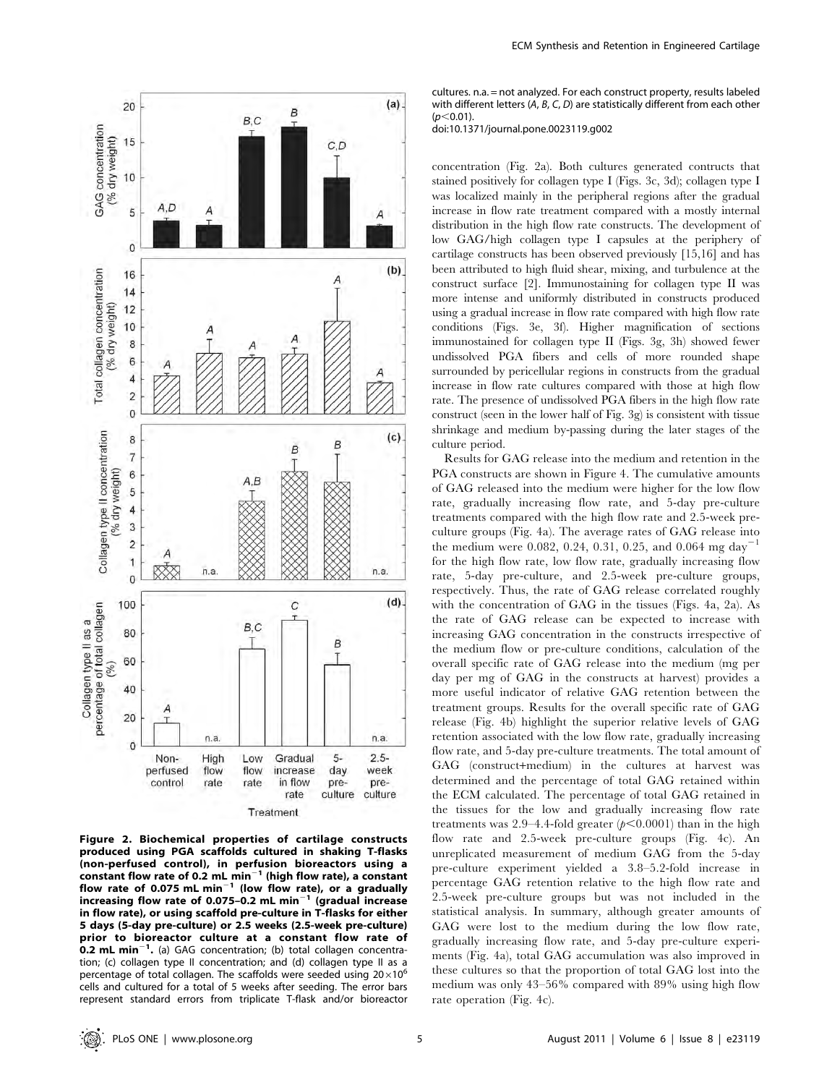



cultures. n.a. = not analyzed. For each construct property, results labeled with different letters  $(A, B, C, D)$  are statistically different from each other  $(n<0.01)$ 

doi:10.1371/journal.pone.0023119.g002

concentration (Fig. 2a). Both cultures generated contructs that stained positively for collagen type I (Figs. 3c, 3d); collagen type I was localized mainly in the peripheral regions after the gradual increase in flow rate treatment compared with a mostly internal distribution in the high flow rate constructs. The development of low GAG/high collagen type I capsules at the periphery of cartilage constructs has been observed previously [15,16] and has been attributed to high fluid shear, mixing, and turbulence at the construct surface [2]. Immunostaining for collagen type II was more intense and uniformly distributed in constructs produced using a gradual increase in flow rate compared with high flow rate conditions (Figs. 3e, 3f). Higher magnification of sections immunostained for collagen type II (Figs. 3g, 3h) showed fewer undissolved PGA fibers and cells of more rounded shape surrounded by pericellular regions in constructs from the gradual increase in flow rate cultures compared with those at high flow rate. The presence of undissolved PGA fibers in the high flow rate construct (seen in the lower half of Fig. 3g) is consistent with tissue shrinkage and medium by-passing during the later stages of the culture period.

Results for GAG release into the medium and retention in the PGA constructs are shown in Figure 4. The cumulative amounts of GAG released into the medium were higher for the low flow rate, gradually increasing flow rate, and 5-day pre-culture treatments compared with the high flow rate and 2.5-week preculture groups (Fig. 4a). The average rates of GAG release into the medium were 0.082, 0.24, 0.31, 0.25, and 0.064 mg day<sup>-1</sup> for the high flow rate, low flow rate, gradually increasing flow rate, 5-day pre-culture, and 2.5-week pre-culture groups, respectively. Thus, the rate of GAG release correlated roughly with the concentration of GAG in the tissues (Figs. 4a, 2a). As the rate of GAG release can be expected to increase with increasing GAG concentration in the constructs irrespective of the medium flow or pre-culture conditions, calculation of the overall specific rate of GAG release into the medium (mg per day per mg of GAG in the constructs at harvest) provides a more useful indicator of relative GAG retention between the treatment groups. Results for the overall specific rate of GAG release (Fig. 4b) highlight the superior relative levels of GAG retention associated with the low flow rate, gradually increasing flow rate, and 5-day pre-culture treatments. The total amount of GAG (construct+medium) in the cultures at harvest was determined and the percentage of total GAG retained within the ECM calculated. The percentage of total GAG retained in the tissues for the low and gradually increasing flow rate treatments was 2.9–4.4-fold greater  $(p<0.0001)$  than in the high flow rate and 2.5-week pre-culture groups (Fig. 4c). An unreplicated measurement of medium GAG from the 5-day pre-culture experiment yielded a 3.8–5.2-fold increase in percentage GAG retention relative to the high flow rate and 2.5-week pre-culture groups but was not included in the statistical analysis. In summary, although greater amounts of GAG were lost to the medium during the low flow rate, gradually increasing flow rate, and 5-day pre-culture experiments (Fig. 4a), total GAG accumulation was also improved in these cultures so that the proportion of total GAG lost into the medium was only 43–56% compared with 89% using high flow rate operation (Fig. 4c).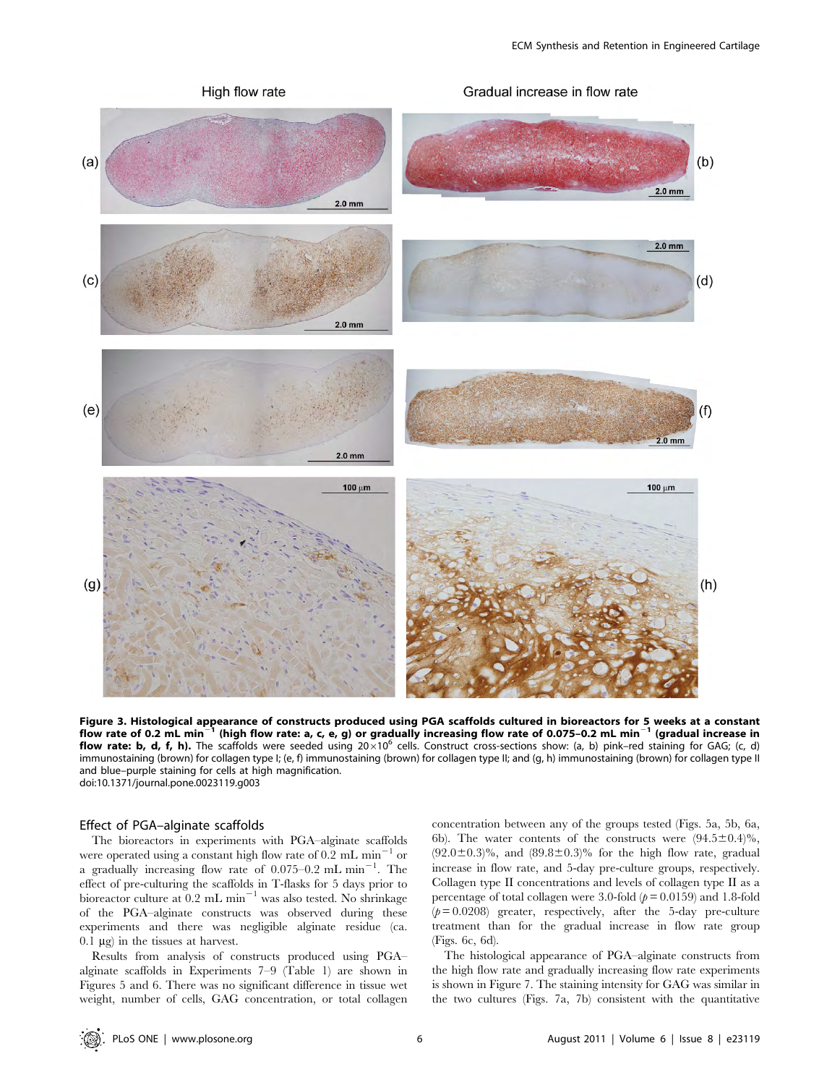

Figure 3. Histological appearance of constructs produced using PGA scaffolds cultured in bioreactors for 5 weeks at a constant flow rate of 0.2 mL min<sup>-1</sup> (high flow rate: a, c, e, g) or gradually increasing flow rate of 0.075-0.2 mL min<sup>-1</sup> (gradual increase in flow rate: b, d, f, h). The scaffolds were seeded using  $20 \times 10^6$  cells. Construct cross-sections show: (a, b) pink-red staining for GAG; (c, d) immunostaining (brown) for collagen type I; (e, f) immunostaining (brown) for collagen type II; and (g, h) immunostaining (brown) for collagen type II and blue–purple staining for cells at high magnification. doi:10.1371/journal.pone.0023119.g003

#### Effect of PGA–alginate scaffolds

The bioreactors in experiments with PGA–alginate scaffolds were operated using a constant high flow rate of  $0.2 \text{ mL min}^{-1}$  or a gradually increasing flow rate of  $0.075-0.2$  mL min<sup>-1</sup>. The effect of pre-culturing the scaffolds in T-flasks for 5 days prior to bioreactor culture at  $0.2 \text{ mL min}^{-1}$  was also tested. No shrinkage of the PGA–alginate constructs was observed during these experiments and there was negligible alginate residue (ca.  $0.1 \mu$ g) in the tissues at harvest.

Results from analysis of constructs produced using PGA– alginate scaffolds in Experiments 7–9 (Table 1) are shown in Figures 5 and 6. There was no significant difference in tissue wet weight, number of cells, GAG concentration, or total collagen concentration between any of the groups tested (Figs. 5a, 5b, 6a, 6b). The water contents of the constructs were  $(94.5\pm0.4)\%$ ,  $(92.0\pm0.3)\%$ , and  $(89.8\pm0.3)\%$  for the high flow rate, gradual increase in flow rate, and 5-day pre-culture groups, respectively. Collagen type II concentrations and levels of collagen type II as a percentage of total collagen were 3.0-fold  $(p= 0.0159)$  and 1.8-fold  $(p= 0.0208)$  greater, respectively, after the 5-day pre-culture treatment than for the gradual increase in flow rate group (Figs. 6c, 6d).

The histological appearance of PGA–alginate constructs from the high flow rate and gradually increasing flow rate experiments is shown in Figure 7. The staining intensity for GAG was similar in the two cultures (Figs. 7a, 7b) consistent with the quantitative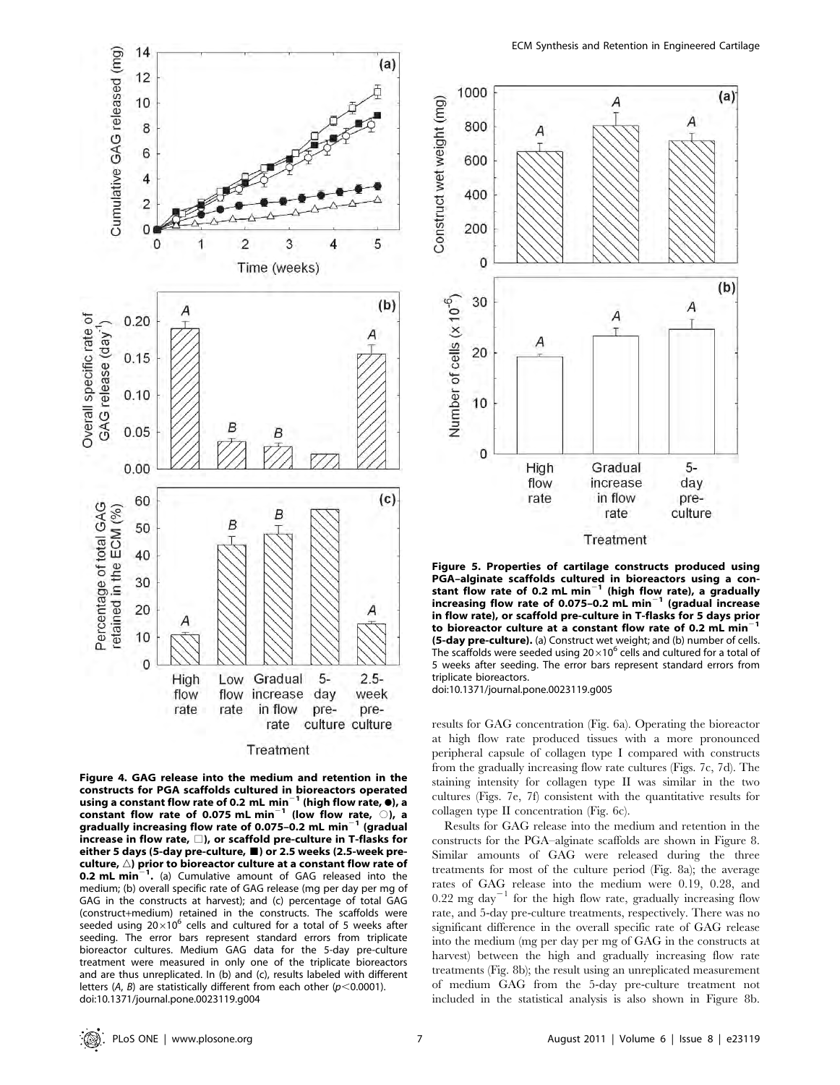

Treatment

Figure 4. GAG release into the medium and retention in the constructs for PGA scaffolds cultured in bioreactors operated<br>using a constant flow rate of 0.2 mL min<sup>-1</sup> (high flow rate, 0), a using a constant flow rate of 0.2 mL min<sup>-1</sup> (high flow rate,  $\bullet$ ), a constant flow rate of 0.075 mL min<sup>-1</sup> (low flow rate,  $\circ$ ), a gradually increasing flow rate of 0.075-0.2 mL min $^{-1}$  (gradual increase in flow rate,  $\square$ ), or scaffold pre-culture in T-flasks for either 5 days (5-day pre-culture,  $\blacksquare$ ) or 2.5 weeks (2.5-week preculture,  $\triangle$ ) prior to bioreactor culture at a constant flow rate of **0.2 mL min**<sup>-1</sup>. (a) Cumulative amount of GAG released into the medium; (b) overall specific rate of GAG release (mg per day per mg of GAG in the constructs at harvest); and (c) percentage of total GAG (construct+medium) retained in the constructs. The scaffolds were seeded using  $20\times10^6$  cells and cultured for a total of 5 weeks after seeding. The error bars represent standard errors from triplicate bioreactor cultures. Medium GAG data for the 5-day pre-culture treatment were measured in only one of the triplicate bioreactors and are thus unreplicated. In (b) and (c), results labeled with different letters (A, B) are statistically different from each other ( $p$ <0.0001). doi:10.1371/journal.pone.0023119.g004



Figure 5. Properties of cartilage constructs produced using PGA–alginate scaffolds cultured in bioreactors using a con-<br>stant flow rate of 0.2 mL min<sup>–1</sup> (high flow rate), a gradually increasing flow rate of 0.075-0.2 mL min<sup>-1</sup> (gradual increase in flow rate), or scaffold pre-culture in T-flasks for 5 days prior to bioreactor culture at a constant flow rate of 0.2 mL min<sup>-</sup> (5-day pre-culture). (a) Construct wet weight; and (b) number of cells. The scaffolds were seeded using  $20\times10^6$  cells and cultured for a total of 5 weeks after seeding. The error bars represent standard errors from triplicate bioreactors.

doi:10.1371/journal.pone.0023119.g005

results for GAG concentration (Fig. 6a). Operating the bioreactor at high flow rate produced tissues with a more pronounced peripheral capsule of collagen type I compared with constructs from the gradually increasing flow rate cultures (Figs. 7c, 7d). The staining intensity for collagen type II was similar in the two cultures (Figs. 7e, 7f) consistent with the quantitative results for collagen type II concentration (Fig. 6c).

Results for GAG release into the medium and retention in the constructs for the PGA–alginate scaffolds are shown in Figure 8. Similar amounts of GAG were released during the three treatments for most of the culture period (Fig. 8a); the average rates of GAG release into the medium were 0.19, 0.28, and  $0.22$  mg day<sup>-1</sup> for the high flow rate, gradually increasing flow rate, and 5-day pre-culture treatments, respectively. There was no significant difference in the overall specific rate of GAG release into the medium (mg per day per mg of GAG in the constructs at harvest) between the high and gradually increasing flow rate treatments (Fig. 8b); the result using an unreplicated measurement of medium GAG from the 5-day pre-culture treatment not included in the statistical analysis is also shown in Figure 8b.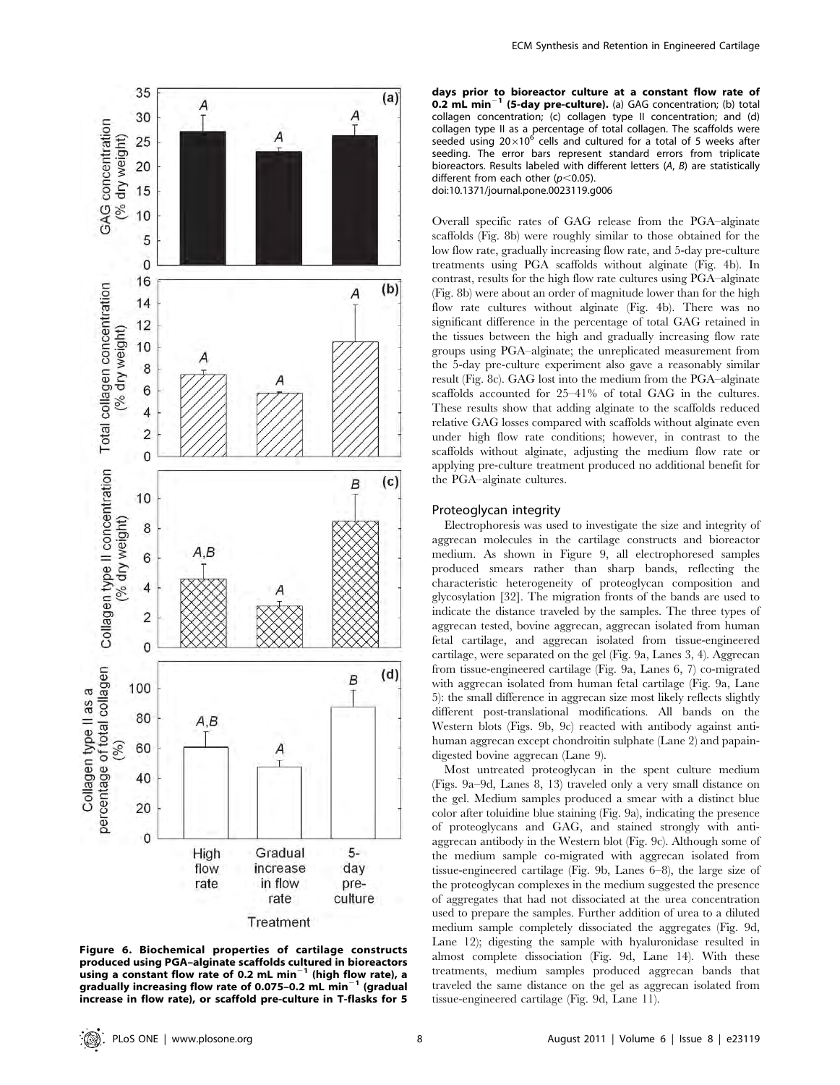

Figure 6. Biochemical properties of cartilage constructs produced using PGA–alginate scaffolds cultured in bioreactors using a constant flow rate of 0.2 mL min $^{-1}$  (high flow rate), a gradually increasing flow rate of 0.075-0.2 mL min $^{-1}$  (gradual increase in flow rate), or scaffold pre-culture in T-flasks for 5

days prior to bioreactor culture at a constant flow rate of **0.2 mL min<sup>-1</sup>** (5-day pre-culture). (a) GAG concentration; (b) total collagen concentration; (c) collagen type II concentration; and (d) collagen type II as a percentage of total collagen. The scaffolds were seeded using  $20\times10^6$  cells and cultured for a total of 5 weeks after seeding. The error bars represent standard errors from triplicate bioreactors. Results labeled with different letters (A, B) are statistically different from each other  $(p<0.05)$ . doi:10.1371/journal.pone.0023119.g006

Overall specific rates of GAG release from the PGA–alginate scaffolds (Fig. 8b) were roughly similar to those obtained for the low flow rate, gradually increasing flow rate, and 5-day pre-culture treatments using PGA scaffolds without alginate (Fig. 4b). In contrast, results for the high flow rate cultures using PGA–alginate (Fig. 8b) were about an order of magnitude lower than for the high flow rate cultures without alginate (Fig. 4b). There was no significant difference in the percentage of total GAG retained in the tissues between the high and gradually increasing flow rate groups using PGA–alginate; the unreplicated measurement from the 5-day pre-culture experiment also gave a reasonably similar result (Fig. 8c). GAG lost into the medium from the PGA–alginate scaffolds accounted for 25–41% of total GAG in the cultures. These results show that adding alginate to the scaffolds reduced relative GAG losses compared with scaffolds without alginate even under high flow rate conditions; however, in contrast to the scaffolds without alginate, adjusting the medium flow rate or applying pre-culture treatment produced no additional benefit for the PGA–alginate cultures.

#### Proteoglycan integrity

Electrophoresis was used to investigate the size and integrity of aggrecan molecules in the cartilage constructs and bioreactor medium. As shown in Figure 9, all electrophoresed samples produced smears rather than sharp bands, reflecting the characteristic heterogeneity of proteoglycan composition and glycosylation [32]. The migration fronts of the bands are used to indicate the distance traveled by the samples. The three types of aggrecan tested, bovine aggrecan, aggrecan isolated from human fetal cartilage, and aggrecan isolated from tissue-engineered cartilage, were separated on the gel (Fig. 9a, Lanes 3, 4). Aggrecan from tissue-engineered cartilage (Fig. 9a, Lanes 6, 7) co-migrated with aggrecan isolated from human fetal cartilage (Fig. 9a, Lane 5): the small difference in aggrecan size most likely reflects slightly different post-translational modifications. All bands on the Western blots (Figs. 9b, 9c) reacted with antibody against antihuman aggrecan except chondroitin sulphate (Lane 2) and papaindigested bovine aggrecan (Lane 9).

Most untreated proteoglycan in the spent culture medium (Figs. 9a–9d, Lanes 8, 13) traveled only a very small distance on the gel. Medium samples produced a smear with a distinct blue color after toluidine blue staining (Fig. 9a), indicating the presence of proteoglycans and GAG, and stained strongly with antiaggrecan antibody in the Western blot (Fig. 9c). Although some of the medium sample co-migrated with aggrecan isolated from tissue-engineered cartilage (Fig. 9b, Lanes 6–8), the large size of the proteoglycan complexes in the medium suggested the presence of aggregates that had not dissociated at the urea concentration used to prepare the samples. Further addition of urea to a diluted medium sample completely dissociated the aggregates (Fig. 9d, Lane 12); digesting the sample with hyaluronidase resulted in almost complete dissociation (Fig. 9d, Lane 14). With these treatments, medium samples produced aggrecan bands that traveled the same distance on the gel as aggrecan isolated from tissue-engineered cartilage (Fig. 9d, Lane 11).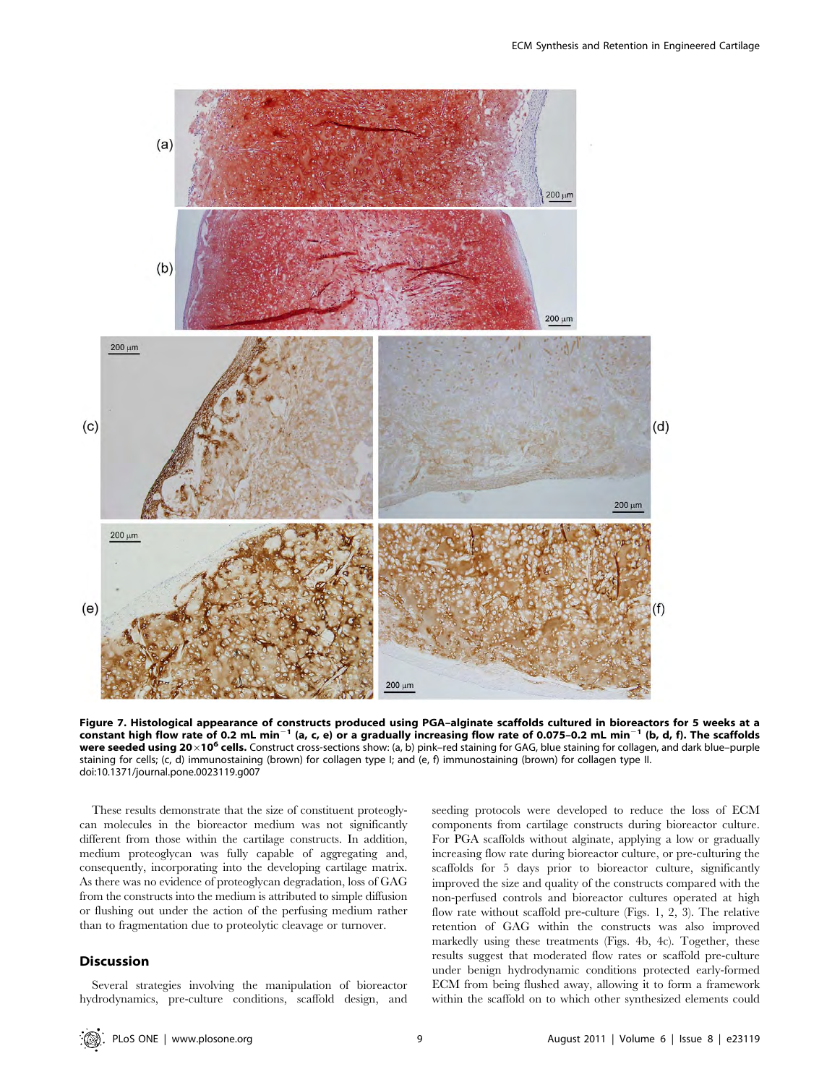

Figure 7. Histological appearance of constructs produced using PGA–alginate scaffolds cultured in bioreactors for 5 weeks at a constant high flow rate of 0.2 mL min<sup>-1</sup> (a, c, e) or a gradually increasing flow rate of 0.075-0.2 mL min<sup>-1</sup> (b, d, f). The scaffolds were seeded using 20×10<sup>6</sup> cells. Construct cross-sections show: (a, b) pink-red staining for GAG, blue staining for collagen, and dark blue-purple staining for cells; (c, d) immunostaining (brown) for collagen type I; and (e, f) immunostaining (brown) for collagen type II. doi:10.1371/journal.pone.0023119.g007

These results demonstrate that the size of constituent proteoglycan molecules in the bioreactor medium was not significantly different from those within the cartilage constructs. In addition, medium proteoglycan was fully capable of aggregating and, consequently, incorporating into the developing cartilage matrix. As there was no evidence of proteoglycan degradation, loss of GAG from the constructs into the medium is attributed to simple diffusion or flushing out under the action of the perfusing medium rather than to fragmentation due to proteolytic cleavage or turnover.

## **Discussion**

Several strategies involving the manipulation of bioreactor hydrodynamics, pre-culture conditions, scaffold design, and seeding protocols were developed to reduce the loss of ECM components from cartilage constructs during bioreactor culture. For PGA scaffolds without alginate, applying a low or gradually increasing flow rate during bioreactor culture, or pre-culturing the scaffolds for 5 days prior to bioreactor culture, significantly improved the size and quality of the constructs compared with the non-perfused controls and bioreactor cultures operated at high flow rate without scaffold pre-culture (Figs. 1, 2, 3). The relative retention of GAG within the constructs was also improved markedly using these treatments (Figs. 4b, 4c). Together, these results suggest that moderated flow rates or scaffold pre-culture under benign hydrodynamic conditions protected early-formed ECM from being flushed away, allowing it to form a framework within the scaffold on to which other synthesized elements could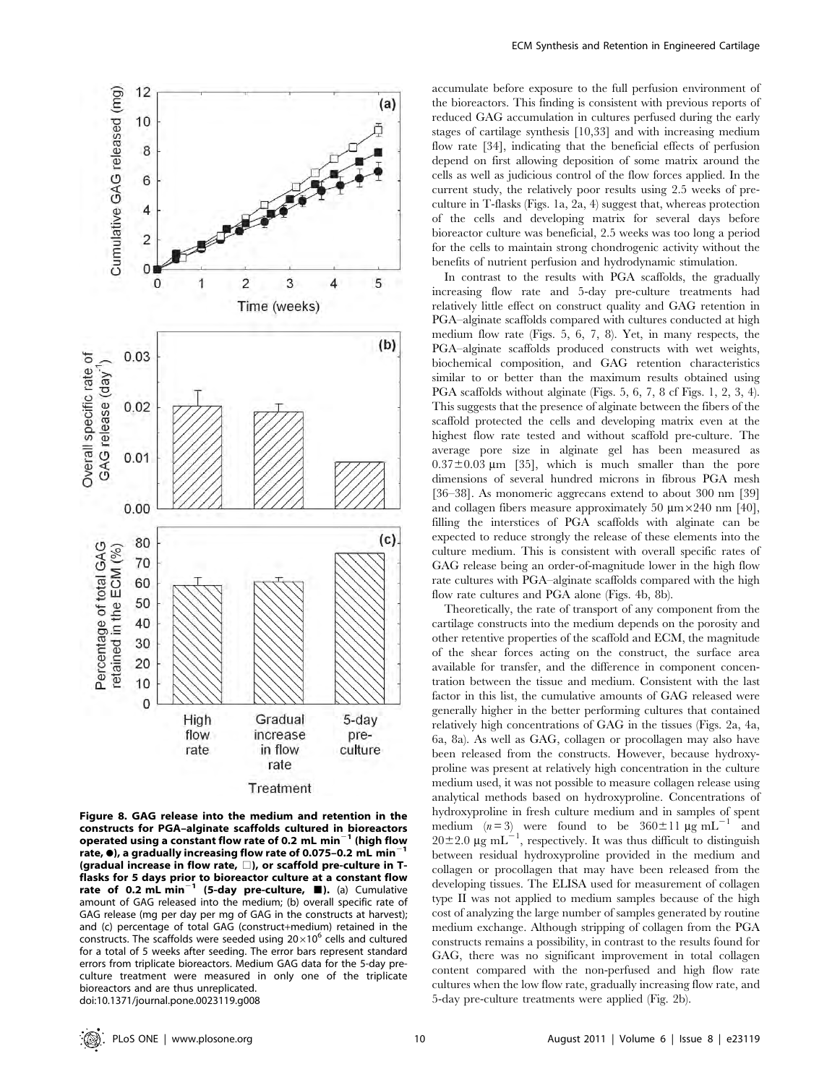

Figure 8. GAG release into the medium and retention in the constructs for PGA–alginate scaffolds cultured in bioreactors operated using a constant flow rate of 0.2 mL min<sup>-1</sup> (high flow rate,  $\bullet$ ), a gradually increasing flow rate of 0.075-0.2 mL min (gradual increase in flow rate,  $\square$ ), or scaffold pre-culture in Tflasks for 5 days prior to bioreactor culture at a constant flow<br>rate of 0.2 mL min<sup>-1</sup> (5-day pre-culture, ■). (a) Cumulative amount of GAG released into the medium; (b) overall specific rate of GAG release (mg per day per mg of GAG in the constructs at harvest); and (c) percentage of total GAG (construct+medium) retained in the constructs. The scaffolds were seeded using  $20\times10^6$  cells and cultured for a total of 5 weeks after seeding. The error bars represent standard errors from triplicate bioreactors. Medium GAG data for the 5-day preculture treatment were measured in only one of the triplicate bioreactors and are thus unreplicated. doi:10.1371/journal.pone.0023119.g008

accumulate before exposure to the full perfusion environment of the bioreactors. This finding is consistent with previous reports of reduced GAG accumulation in cultures perfused during the early stages of cartilage synthesis [10,33] and with increasing medium flow rate [34], indicating that the beneficial effects of perfusion depend on first allowing deposition of some matrix around the cells as well as judicious control of the flow forces applied. In the current study, the relatively poor results using 2.5 weeks of preculture in T-flasks (Figs. 1a, 2a, 4) suggest that, whereas protection of the cells and developing matrix for several days before bioreactor culture was beneficial, 2.5 weeks was too long a period for the cells to maintain strong chondrogenic activity without the benefits of nutrient perfusion and hydrodynamic stimulation.

In contrast to the results with PGA scaffolds, the gradually increasing flow rate and 5-day pre-culture treatments had relatively little effect on construct quality and GAG retention in PGA–alginate scaffolds compared with cultures conducted at high medium flow rate (Figs. 5, 6, 7, 8). Yet, in many respects, the PGA–alginate scaffolds produced constructs with wet weights, biochemical composition, and GAG retention characteristics similar to or better than the maximum results obtained using PGA scaffolds without alginate (Figs. 5, 6, 7, 8 cf Figs. 1, 2, 3, 4). This suggests that the presence of alginate between the fibers of the scaffold protected the cells and developing matrix even at the highest flow rate tested and without scaffold pre-culture. The average pore size in alginate gel has been measured as  $0.37\pm0.03$  µm [35], which is much smaller than the pore dimensions of several hundred microns in fibrous PGA mesh [36–38]. As monomeric aggrecans extend to about 300 nm [39] and collagen fibers measure approximately 50  $\mu$ m ×240 nm [40], filling the interstices of PGA scaffolds with alginate can be expected to reduce strongly the release of these elements into the culture medium. This is consistent with overall specific rates of GAG release being an order-of-magnitude lower in the high flow rate cultures with PGA–alginate scaffolds compared with the high flow rate cultures and PGA alone (Figs. 4b, 8b).

Theoretically, the rate of transport of any component from the cartilage constructs into the medium depends on the porosity and other retentive properties of the scaffold and ECM, the magnitude of the shear forces acting on the construct, the surface area available for transfer, and the difference in component concentration between the tissue and medium. Consistent with the last factor in this list, the cumulative amounts of GAG released were generally higher in the better performing cultures that contained relatively high concentrations of GAG in the tissues (Figs. 2a, 4a, 6a, 8a). As well as GAG, collagen or procollagen may also have been released from the constructs. However, because hydroxyproline was present at relatively high concentration in the culture medium used, it was not possible to measure collagen release using analytical methods based on hydroxyproline. Concentrations of hydroxyproline in fresh culture medium and in samples of spent medium  $(n=3)$  were found to be  $360 \pm 11 \text{ µg m}$ L<sup>-1</sup> and  $20\pm2.0 \ \mu\text{g m}$ L<sup>-1</sup>, respectively. It was thus difficult to distinguish between residual hydroxyproline provided in the medium and collagen or procollagen that may have been released from the developing tissues. The ELISA used for measurement of collagen type II was not applied to medium samples because of the high cost of analyzing the large number of samples generated by routine medium exchange. Although stripping of collagen from the PGA constructs remains a possibility, in contrast to the results found for GAG, there was no significant improvement in total collagen content compared with the non-perfused and high flow rate cultures when the low flow rate, gradually increasing flow rate, and 5-day pre-culture treatments were applied (Fig. 2b).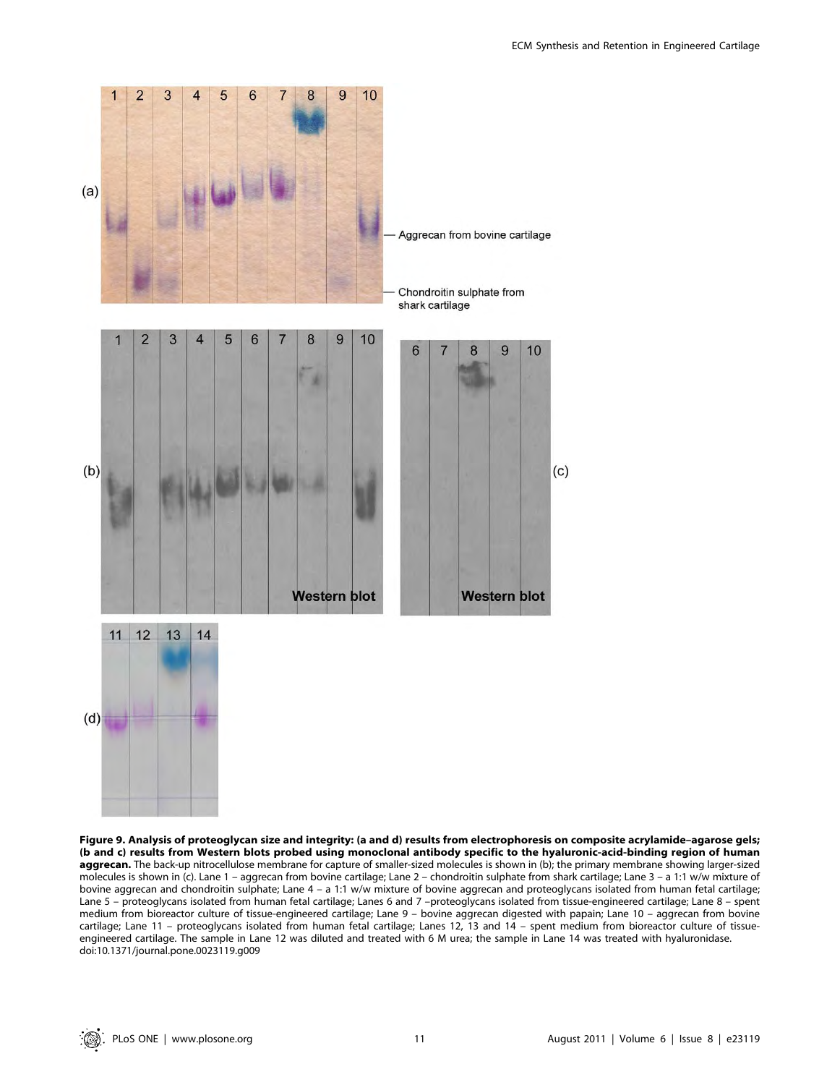

Figure 9. Analysis of proteoglycan size and integrity: (a and d) results from electrophoresis on composite acrylamide–agarose gels; (b and c) results from Western blots probed using monoclonal antibody specific to the hyaluronic-acid-binding region of human aggrecan. The back-up nitrocellulose membrane for capture of smaller-sized molecules is shown in (b); the primary membrane showing larger-sized molecules is shown in (c). Lane 1 – aggrecan from bovine cartilage; Lane 2 – chondroitin sulphate from shark cartilage; Lane 3 – a 1:1 w/w mixture of bovine aggrecan and chondroitin sulphate; Lane 4 – a 1:1 w/w mixture of bovine aggrecan and proteoglycans isolated from human fetal cartilage; Lane 5 – proteoglycans isolated from human fetal cartilage; Lanes 6 and 7 –proteoglycans isolated from tissue-engineered cartilage; Lane 8 – spent medium from bioreactor culture of tissue-engineered cartilage; Lane 9 – bovine aggrecan digested with papain; Lane 10 – aggrecan from bovine cartilage; Lane 11 – proteoglycans isolated from human fetal cartilage; Lanes 12, 13 and 14 – spent medium from bioreactor culture of tissueengineered cartilage. The sample in Lane 12 was diluted and treated with 6 M urea; the sample in Lane 14 was treated with hyaluronidase. doi:10.1371/journal.pone.0023119.g009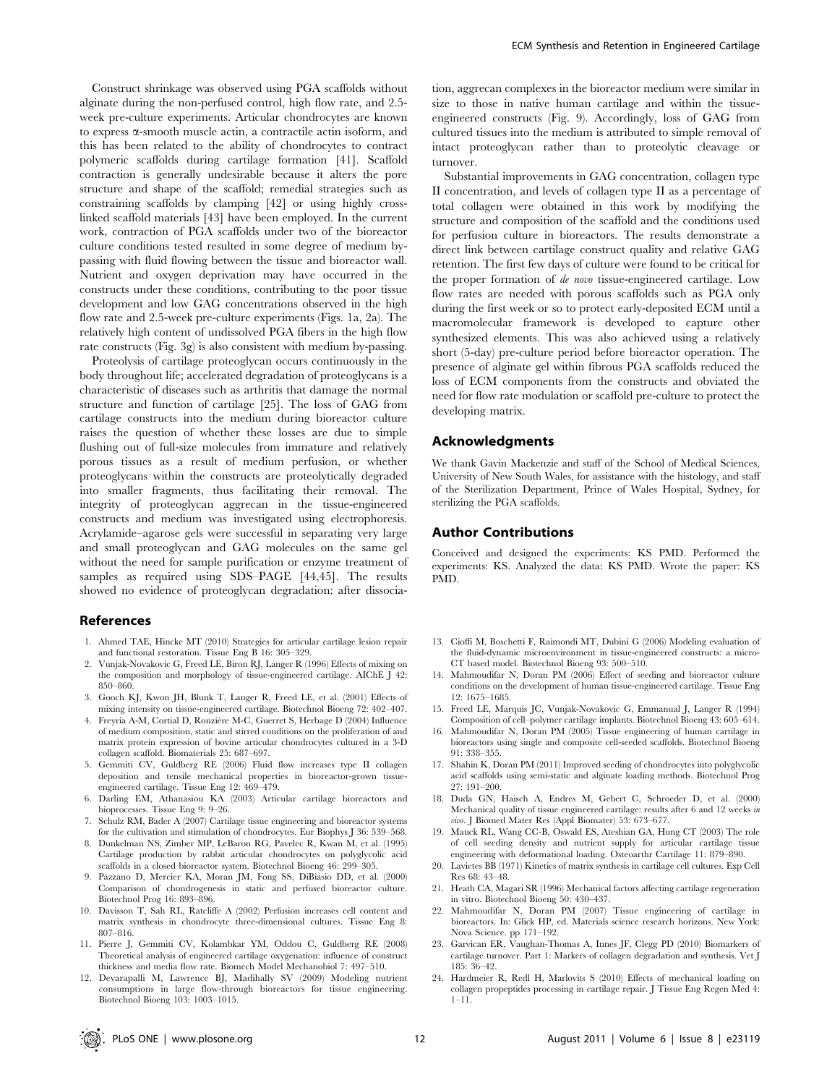Construct shrinkage was observed using PGA scaffolds without alginate during the non-perfused control, high flow rate, and 2.5 week pre-culture experiments. Articular chondrocytes are known to express  $\alpha$ -smooth muscle actin, a contractile actin isoform, and this has been related to the ability of chondrocytes to contract polymeric scaffolds during cartilage formation [41]. Scaffold contraction is generally undesirable because it alters the pore structure and shape of the scaffold; remedial strategies such as constraining scaffolds by clamping [42] or using highly crosslinked scaffold materials [43] have been employed. In the current work, contraction of PGA scaffolds under two of the bioreactor culture conditions tested resulted in some degree of medium bypassing with fluid flowing between the tissue and bioreactor wall. Nutrient and oxygen deprivation may have occurred in the constructs under these conditions, contributing to the poor tissue development and low GAG concentrations observed in the high flow rate and 2.5-week pre-culture experiments (Figs. 1a, 2a). The relatively high content of undissolved PGA fibers in the high flow rate constructs (Fig. 3g) is also consistent with medium by-passing.

Proteolysis of cartilage proteoglycan occurs continuously in the body throughout life; accelerated degradation of proteoglycans is a characteristic of diseases such as arthritis that damage the normal structure and function of cartilage [25]. The loss of GAG from cartilage constructs into the medium during bioreactor culture raises the question of whether these losses are due to simple flushing out of full-size molecules from immature and relatively porous tissues as a result of medium perfusion, or whether proteoglycans within the constructs are proteolytically degraded into smaller fragments, thus facilitating their removal. The integrity of proteoglycan aggrecan in the tissue-engineered constructs and medium was investigated using electrophoresis. Acrylamide–agarose gels were successful in separating very large and small proteoglycan and GAG molecules on the same gel without the need for sample purification or enzyme treatment of samples as required using SDS–PAGE [44,45]. The results showed no evidence of proteoglycan degradation: after dissocia-

#### References

- 1. Ahmed TAE, Hincke MT (2010) Strategies for articular cartilage lesion repair and functional restoration. Tissue Eng B 16: 305–329.
- 2. Vunjak-Novakovic G, Freed LE, Biron RJ, Langer R (1996) Effects of mixing on the composition and morphology of tissue-engineered cartilage. AIChE J 42: 850–860.
- 3. Gooch KJ, Kwon JH, Blunk T, Langer R, Freed LE, et al. (2001) Effects of mixing intensity on tissue-engineered cartilage. Biotechnol Bioeng 72: 402–407.
- 4. Freyria A-M, Cortial D, Ronzière M-C, Guerret S, Herbage D (2004) Influence of medium composition, static and stirred conditions on the proliferation of and matrix protein expression of bovine articular chondrocytes cultured in a 3-D collagen scaffold. Biomaterials 25: 687–697.
- 5. Gemmiti CV, Guldberg RE (2006) Fluid flow increases type II collagen deposition and tensile mechanical properties in bioreactor-grown tissueengineered cartilage. Tissue Eng 12: 469–479.
- 6. Darling EM, Athanasiou KA (2003) Articular cartilage bioreactors and bioprocesses. Tissue Eng 9: 9–26.
- 7. Schulz RM, Bader A (2007) Cartilage tissue engineering and bioreactor systems for the cultivation and stimulation of chondrocytes. Eur Biophys J 36: 539–568.
- 8. Dunkelman NS, Zimber MP, LeBaron RG, Pavelec R, Kwan M, et al. (1995) Cartilage production by rabbit articular chondrocytes on polyglycolic acid scaffolds in a closed bioreactor system. Biotechnol Bioeng 46: 299–305.
- 9. Pazzano D, Mercier KA, Moran JM, Fong SS, DiBiasio DD, et al. (2000) Comparison of chondrogenesis in static and perfused bioreactor culture. Biotechnol Prog 16: 893–896.
- 10. Davisson T, Sah RL, Ratcliffe A (2002) Perfusion increases cell content and matrix synthesis in chondrocyte three-dimensional cultures. Tissue Eng 8: 807–816.
- 11. Pierre J, Gemmiti CV, Kolambkar YM, Oddou C, Guldberg RE (2008) Theoretical analysis of engineered cartilage oxygenation: influence of construct thickness and media flow rate. Biomech Model Mechanobiol 7: 497–510.
- 12. Devarapalli M, Lawrence BJ, Madihally SV (2009) Modeling nutrient consumptions in large flow-through bioreactors for tissue engineering. Biotechnol Bioeng 103: 1003–1015.

tion, aggrecan complexes in the bioreactor medium were similar in size to those in native human cartilage and within the tissueengineered constructs (Fig. 9). Accordingly, loss of GAG from cultured tissues into the medium is attributed to simple removal of intact proteoglycan rather than to proteolytic cleavage or turnover.

Substantial improvements in GAG concentration, collagen type II concentration, and levels of collagen type II as a percentage of total collagen were obtained in this work by modifying the structure and composition of the scaffold and the conditions used for perfusion culture in bioreactors. The results demonstrate a direct link between cartilage construct quality and relative GAG retention. The first few days of culture were found to be critical for the proper formation of de novo tissue-engineered cartilage. Low flow rates are needed with porous scaffolds such as PGA only during the first week or so to protect early-deposited ECM until a macromolecular framework is developed to capture other synthesized elements. This was also achieved using a relatively short (5-day) pre-culture period before bioreactor operation. The presence of alginate gel within fibrous PGA scaffolds reduced the loss of ECM components from the constructs and obviated the need for flow rate modulation or scaffold pre-culture to protect the developing matrix.

#### Acknowledgments

We thank Gavin Mackenzie and staff of the School of Medical Sciences, University of New South Wales, for assistance with the histology, and staff of the Sterilization Department, Prince of Wales Hospital, Sydney, for sterilizing the PGA scaffolds.

#### Author Contributions

Conceived and designed the experiments: KS PMD. Performed the experiments: KS. Analyzed the data: KS PMD. Wrote the paper: KS PMD.

- 13. Cioffi M, Boschetti F, Raimondi MT, Dubini G (2006) Modeling evaluation of the fluid-dynamic microenvironment in tissue-engineered constructs: a micro-CT based model. Biotechnol Bioeng 93: 500–510.
- 14. Mahmoudifar N, Doran PM (2006) Effect of seeding and bioreactor culture conditions on the development of human tissue-engineered cartilage. Tissue Eng 12: 1675–1685.
- 15. Freed LE, Marquis JC, Vunjak-Novakovic G, Emmanual J, Langer R (1994) Composition of cell–polymer cartilage implants. Biotechnol Bioeng 43: 605–614.
- 16. Mahmoudifar N, Doran PM (2005) Tissue engineering of human cartilage in bioreactors using single and composite cell-seeded scaffolds. Biotechnol Bioeng 91: 338–355.
- 17. Shahin K, Doran PM (2011) Improved seeding of chondrocytes into polyglycolic acid scaffolds using semi-static and alginate loading methods. Biotechnol Prog 27: 191–200.
- 18. Duda GN, Haisch A, Endres M, Gebert C, Schroeder D, et al. (2000) Mechanical quality of tissue engineered cartilage: results after 6 and 12 weeks in vivo. J Biomed Mater Res (Appl Biomater) 53: 673–677.
- 19. Mauck RL, Wang CC-B, Oswald ES, Ateshian GA, Hung CT (2003) The role of cell seeding density and nutrient supply for articular cartilage tissue engineering with deformational loading. Osteoarthr Cartilage 11: 879–890.
- 20. Lavietes BB (1971) Kinetics of matrix synthesis in cartilage cell cultures. Exp Cell Res 68: 43–48.
- 21. Heath CA, Magari SR (1996) Mechanical factors affecting cartilage regeneration in vitro. Biotechnol Bioeng 50: 430–437.
- 22. Mahmoudifar N, Doran PM (2007) Tissue engineering of cartilage in bioreactors. In: Glick HP, ed. Materials science research horizons. New York: Nova Science. pp 171–192.
- 23. Garvican ER, Vaughan-Thomas A, Innes JF, Clegg PD (2010) Biomarkers of cartilage turnover. Part 1: Markers of collagen degradation and synthesis. Vet J 185: 36–42.
- 24. Hardmeier R, Redl H, Marlovits S (2010) Effects of mechanical loading on collagen propeptides processing in cartilage repair. J Tissue Eng Regen Med 4: 1–11.